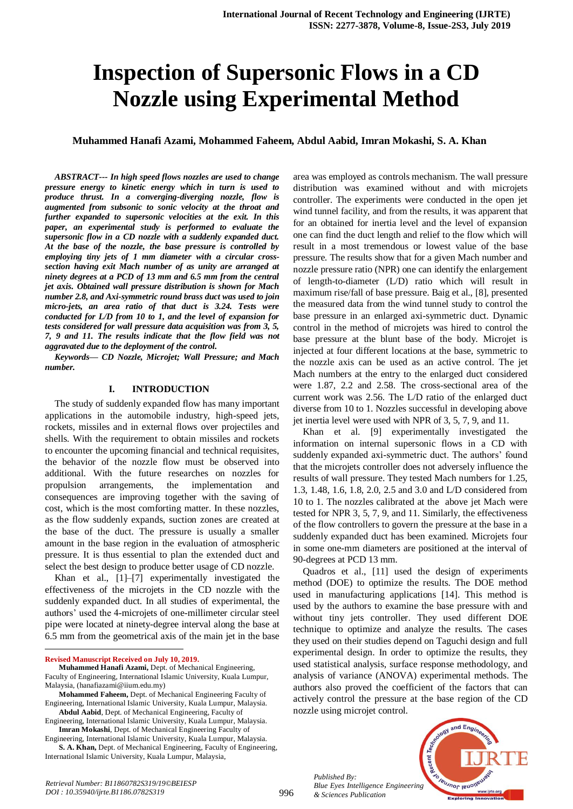# **Inspection of Supersonic Flows in a CD Nozzle using Experimental Method**

# **Muhammed Hanafi Azami, Mohammed Faheem, Abdul Aabid, Imran Mokashi, S. A. Khan**

*ABSTRACT--- In high speed flows nozzles are used to change pressure energy to kinetic energy which in turn is used to produce thrust. In a converging-diverging nozzle, flow is augmented from subsonic to sonic velocity at the throat and further expanded to supersonic velocities at the exit. In this paper, an experimental study is performed to evaluate the supersonic flow in a CD nozzle with a suddenly expanded duct. At the base of the nozzle, the base pressure is controlled by employing tiny jets of 1 mm diameter with a circular crosssection having exit Mach number of as unity are arranged at ninety degrees at a PCD of 13 mm and 6.5 mm from the central jet axis. Obtained wall pressure distribution is shown for Mach number 2.8, and Axi-symmetric round brass duct was used to join micro-jets, an area ratio of that duct is 3.24. Tests were conducted for L/D from 10 to 1, and the level of expansion for tests considered for wall pressure data acquisition was from 3, 5, 7, 9 and 11. The results indicate that the flow field was not aggravated due to the deployment of the control.*

*Keywords— CD Nozzle, Microjet; Wall Pressure; and Mach number.*

#### **I. INTRODUCTION**

The study of suddenly expanded flow has many important applications in the automobile industry, high-speed jets, rockets, missiles and in external flows over projectiles and shells. With the requirement to obtain missiles and rockets to encounter the upcoming financial and technical requisites, the behavior of the nozzle flow must be observed into additional. With the future researches on nozzles for propulsion arrangements, the implementation and consequences are improving together with the saving of cost, which is the most comforting matter. In these nozzles, as the flow suddenly expands, suction zones are created at the base of the duct. The pressure is usually a smaller amount in the base region in the evaluation of atmospheric pressure. It is thus essential to plan the extended duct and select the best design to produce better usage of CD nozzle.

Khan et al., [1]–[7] experimentally investigated the effectiveness of the microjets in the CD nozzle with the suddenly expanded duct. In all studies of experimental, the authors' used the 4-microjets of one-millimeter circular steel pipe were located at ninety-degree interval along the base at 6.5 mm from the geometrical axis of the main jet in the base

 $\overline{a}$ 

area was employed as controls mechanism. The wall pressure distribution was examined without and with microjets controller. The experiments were conducted in the open jet wind tunnel facility, and from the results, it was apparent that for an obtained for inertia level and the level of expansion one can find the duct length and relief to the flow which will result in a most tremendous or lowest value of the base pressure. The results show that for a given Mach number and nozzle pressure ratio (NPR) one can identify the enlargement of length-to-diameter (L/D) ratio which will result in maximum rise/fall of base pressure. Baig et al., [8], presented the measured data from the wind tunnel study to control the base pressure in an enlarged axi-symmetric duct. Dynamic control in the method of microjets was hired to control the base pressure at the blunt base of the body. Microjet is injected at four different locations at the base, symmetric to the nozzle axis can be used as an active control. The jet Mach numbers at the entry to the enlarged duct considered were 1.87, 2.2 and 2.58. The cross-sectional area of the current work was 2.56. The L/D ratio of the enlarged duct diverse from 10 to 1. Nozzles successful in developing above jet inertia level were used with NPR of 3, 5, 7, 9, and 11.

Khan et al. [9] experimentally investigated the information on internal supersonic flows in a CD with suddenly expanded axi-symmetric duct. The authors' found that the microjets controller does not adversely influence the results of wall pressure. They tested Mach numbers for 1.25, 1.3, 1.48, 1.6, 1.8, 2.0, 2.5 and 3.0 and L/D considered from 10 to 1. The nozzles calibrated at the above jet Mach were tested for NPR 3, 5, 7, 9, and 11. Similarly, the effectiveness of the flow controllers to govern the pressure at the base in a suddenly expanded duct has been examined. Microjets four in some one-mm diameters are positioned at the interval of 90-degrees at PCD 13 mm.

Quadros et al., [11] used the design of experiments method (DOE) to optimize the results. The DOE method used in manufacturing applications [14]. This method is used by the authors to examine the base pressure with and without tiny jets controller. They used different DOE technique to optimize and analyze the results. The cases they used on their studies depend on Taguchi design and full experimental design. In order to optimize the results, they used statistical analysis, surface response methodology, and analysis of variance (ANOVA) experimental methods. The authors also proved the coefficient of the factors that can actively control the pressure at the base region of the CD nozzle using microjet control.

*Published By: Blue Eyes Intelligence Engineering & Sciences Publication* 



**Revised Manuscript Received on July 10, 2019.**

**Muhammed Hanafi Azami,** Dept. of Mechanical Engineering, Faculty of Engineering, International Islamic University, Kuala Lumpur, Malaysia, (hanafiazami@iium.edu.my)

**Mohammed Faheem,** Dept. of Mechanical Engineering Faculty of Engineering, International Islamic University, Kuala Lumpur, Malaysia. **Abdul Aabid**, Dept. of Mechanical Engineering, Faculty of

Engineering, International Islamic University, Kuala Lumpur, Malaysia. **Imran Mokashi**, Dept. of Mechanical Engineering Faculty of

Engineering, International Islamic University, Kuala Lumpur, Malaysia. **S. A. Khan,** Dept. of Mechanical Engineering, Faculty of Engineering,

International Islamic University, Kuala Lumpur, Malaysia,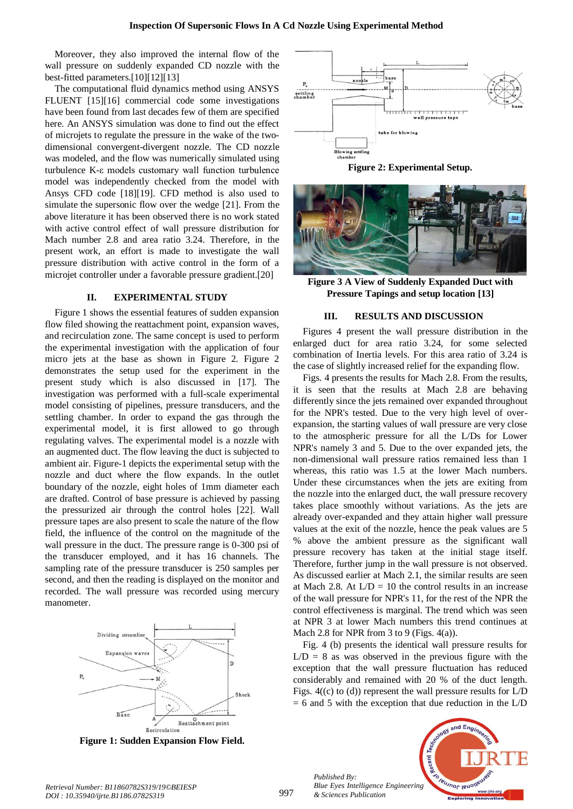Moreover, they also improved the internal flow of the wall pressure on suddenly expanded CD nozzle with the best-fitted parameters.[10][12][13]

The computational fluid dynamics method using ANSYS FLUENT [15][16] commercial code some investigations have been found from last decades few of them are specified here. An ANSYS simulation was done to find out the effect of microjets to regulate the pressure in the wake of the twodimensional convergent-divergent nozzle. The CD nozzle was modeled, and the flow was numerically simulated using turbulence K-ε models customary wall function turbulence model was independently checked from the model with Ansys CFD code [18][19]. CFD method is also used to simulate the supersonic flow over the wedge [21]. From the above literature it has been observed there is no work stated with active control effect of wall pressure distribution for Mach number 2.8 and area ratio 3.24. Therefore, in the present work, an effort is made to investigate the wall pressure distribution with active control in the form of a microjet controller under a favorable pressure gradient.[20]

## **II. EXPERIMENTAL STUDY**

Figure 1 shows the essential features of sudden expansion flow filed showing the reattachment point, expansion waves, and recirculation zone. The same concept is used to perform the experimental investigation with the application of four micro jets at the base as shown in Figure 2. Figure 2 demonstrates the setup used for the experiment in the present study which is also discussed in [17]. The investigation was performed with a full-scale experimental model consisting of pipelines, pressure transducers, and the settling chamber. In order to expand the gas through the experimental model, it is first allowed to go through regulating valves. The experimental model is a nozzle with an augmented duct. The flow leaving the duct is subjected to ambient air. Figure-1 depicts the experimental setup with the nozzle and duct where the flow expands. In the outlet boundary of the nozzle, eight holes of 1mm diameter each are drafted. Control of base pressure is achieved by passing the pressurized air through the control holes [22]. Wall pressure tapes are also present to scale the nature of the flow field, the influence of the control on the magnitude of the wall pressure in the duct. The pressure range is 0-300 psi of the transducer employed, and it has 16 channels. The sampling rate of the pressure transducer is 250 samples per second, and then the reading is displayed on the monitor and recorded. The wall pressure was recorded using mercury manometer.



**Figure 1: Sudden Expansion Flow Field.**



**Figure 2: Experimental Setup.**



**Figure 3 A View of Suddenly Expanded Duct with Pressure Tapings and setup location [13]**

#### **III. RESULTS AND DISCUSSION**

Figures 4 present the wall pressure distribution in the enlarged duct for area ratio 3.24, for some selected combination of Inertia levels. For this area ratio of 3.24 is the case of slightly increased relief for the expanding flow.

Figs. 4 presents the results for Mach 2.8. From the results, it is seen that the results at Mach 2.8 are behaving differently since the jets remained over expanded throughout for the NPR's tested. Due to the very high level of overexpansion, the starting values of wall pressure are very close to the atmospheric pressure for all the L/Ds for Lower NPR's namely 3 and 5. Due to the over expanded jets, the non-dimensional wall pressure ratios remained less than 1 whereas, this ratio was 1.5 at the lower Mach numbers. Under these circumstances when the jets are exiting from the nozzle into the enlarged duct, the wall pressure recovery takes place smoothly without variations. As the jets are already over-expanded and they attain higher wall pressure values at the exit of the nozzle, hence the peak values are 5 % above the ambient pressure as the significant wall pressure recovery has taken at the initial stage itself. Therefore, further jump in the wall pressure is not observed. As discussed earlier at Mach 2.1, the similar results are seen at Mach 2.8. At  $L/D = 10$  the control results in an increase of the wall pressure for NPR's 11, for the rest of the NPR the control effectiveness is marginal. The trend which was seen at NPR 3 at lower Mach numbers this trend continues at Mach 2.8 for NPR from 3 to 9 (Figs. 4(a)).

Fig. 4 (b) presents the identical wall pressure results for  $L/D = 8$  as was observed in the previous figure with the exception that the wall pressure fluctuation has reduced considerably and remained with 20 % of the duct length. Figs. 4((c) to (d)) represent the wall pressure results for L/D  $= 6$  and 5 with the exception that due reduction in the L/D

*Published By: Blue Eyes Intelligence Engineering & Sciences Publication* 

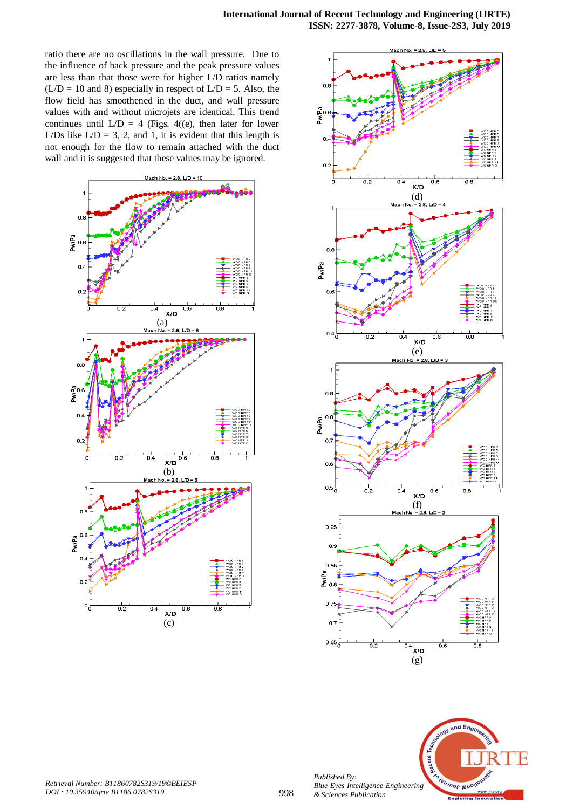ratio there are no oscillations in the wall pressure. Due to the influence of back pressure and the peak pressure values are less than that those were for higher L/D ratios namely  $(L/D = 10$  and 8) especially in respect of  $L/D = 5$ . Also, the flow field has smoothened in the duct, and wall pressure values with and without microjets are identical. This trend continues until  $L/D = 4$  (Figs. 4((e), then later for lower L/Ds like  $L/D = 3, 2,$  and 1, it is evident that this length is not enough for the flow to remain attached with the duct wall and it is suggested that these values may be ignored.







*Published By:*

*& Sciences Publication*